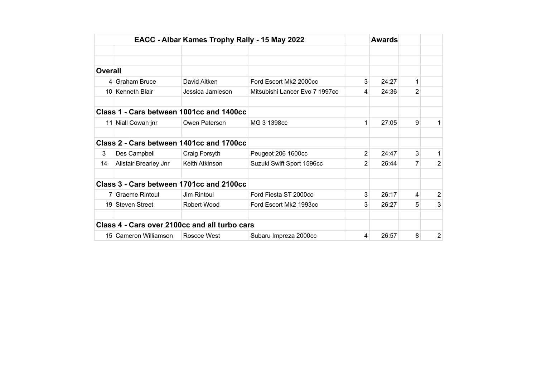|                |                       | EACC - Albar Kames Trophy Rally - 15 May 2022 |                                |   | <b>Awards</b> |   |                |
|----------------|-----------------------|-----------------------------------------------|--------------------------------|---|---------------|---|----------------|
|                |                       |                                               |                                |   |               |   |                |
|                |                       |                                               |                                |   |               |   |                |
| <b>Overall</b> |                       |                                               |                                |   |               |   |                |
|                | 4 Graham Bruce        | David Aitken                                  | Ford Escort Mk2 2000cc         | 3 | 24:27         | 1 |                |
|                | 10 Kenneth Blair      | Jessica Jamieson                              | Mitsubishi Lancer Evo 7 1997cc | 4 | 24:36         | 2 |                |
|                |                       | Class 1 - Cars between 1001cc and 1400cc      |                                |   |               |   |                |
|                | 11 Niall Cowan jnr    | Owen Paterson                                 | MG 3 1398cc                    | 1 | 27:05         | 9 | 1              |
|                |                       | Class 2 - Cars between 1401cc and 1700cc      |                                |   |               |   |                |
| 3              | Des Campbell          | Craig Forsyth                                 | Peugeot 206 1600cc             | 2 | 24:47         | 3 | 1.             |
| 14             | Alistair Brearley Jnr | Keith Atkinson                                | Suzuki Swift Sport 1596cc      | 2 | 26:44         |   | 2              |
|                |                       | Class 3 - Cars between 1701cc and 2100cc      |                                |   |               |   |                |
|                | 7 Graeme Rintoul      | Jim Rintoul                                   | Ford Fiesta ST 2000cc          | 3 | 26:17         | 4 | $\overline{2}$ |
|                | 19 Steven Street      | Robert Wood                                   | Ford Escort Mk2 1993cc         | 3 | 26:27         | 5 | 3              |
|                |                       | Class 4 - Cars over 2100cc and all turbo cars |                                |   |               |   |                |
|                | 15 Cameron Williamson | Roscoe West                                   | Subaru Impreza 2000cc          | 4 | 26:57         | 8 | 2              |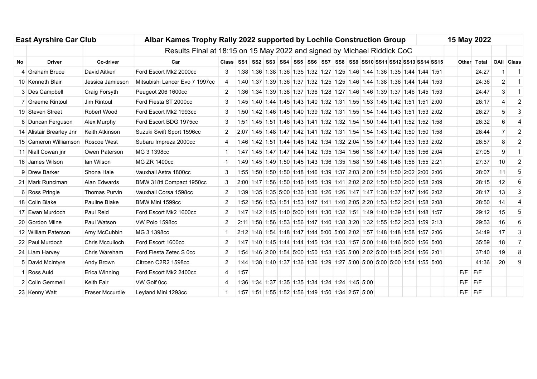|    | <b>East Ayrshire Car Club</b>     |                        | Albar Kames Trophy Rally 2022 supported by Lochlie Construction Group   |                                                                         |      |  |  |  |  |                                                                                 |  |  |  | 15 May 2022 |  |  |                                                                            |  |             |             |                |                   |
|----|-----------------------------------|------------------------|-------------------------------------------------------------------------|-------------------------------------------------------------------------|------|--|--|--|--|---------------------------------------------------------------------------------|--|--|--|-------------|--|--|----------------------------------------------------------------------------|--|-------------|-------------|----------------|-------------------|
|    |                                   |                        | Results Final at 18:15 on 15 May 2022 and signed by Michael Riddick CoC |                                                                         |      |  |  |  |  |                                                                                 |  |  |  |             |  |  |                                                                            |  |             |             |                |                   |
| No | <b>Driver</b>                     | Co-driver              | Car                                                                     | Class SS1 SS2 SS3 SS4 SS5 SS6 SS7 SS8 SS9 SS10 SS11 SS12 SS13 SS14 SS15 |      |  |  |  |  |                                                                                 |  |  |  |             |  |  |                                                                            |  |             | Other Total |                | <b>OAII Class</b> |
|    | 4 Graham Bruce                    | David Aitken           | Ford Escort Mk2 2000cc                                                  | 3                                                                       |      |  |  |  |  | 1:38 1:36 1:38 1:36 1:35 1:32 1:27 1:25 1:46 1:44 1:36 1:35 1:44 1:44 1:51      |  |  |  |             |  |  |                                                                            |  |             | 24:27       |                | $\overline{1}$    |
|    | 10 Kenneth Blair                  | Jessica Jamieson       | Mitsubishi Lancer Evo 7 1997cc                                          | $\overline{4}$                                                          |      |  |  |  |  | 1:40 1:37 1:39 1:36 1:37 1:32 1:25 1:25 1:46 1:44 1:38 1:36 1:44 1:44 1:53      |  |  |  |             |  |  |                                                                            |  |             | 24:36       | $\overline{2}$ | $\overline{1}$    |
|    | 3 Des Campbell                    | Craig Forsyth          | Peugeot 206 1600cc                                                      | 2                                                                       |      |  |  |  |  | 1:36 1:34 1:39 1:38 1:37 1:36 1:28 1:27 1:46 1:46 1:39 1:37 1:46 1:45 1:53      |  |  |  |             |  |  |                                                                            |  |             | 24:47       | 3              | $\overline{1}$    |
|    | 7 Graeme Rintoul                  | Jim Rintoul            | Ford Fiesta ST 2000cc                                                   | 3                                                                       |      |  |  |  |  | 1:45 1:40 1:44 1:45 1:43 1:40 1:32 1:31 1:55 1:53 1:45 1:42 1:51 1:51 2:00      |  |  |  |             |  |  |                                                                            |  |             | 26:17       |                | $\overline{2}$    |
|    | 19 Steven Street                  | Robert Wood            | Ford Escort Mk2 1993cc                                                  | 3                                                                       |      |  |  |  |  | 1:50 1:42 1:46 1:45 1:40 1:39 1:32 1:31 1:55 1:54 1:44 1:43 1:51 1:53 2:02      |  |  |  |             |  |  |                                                                            |  |             | 26:27       | 5              | 3                 |
|    | 8 Duncan Ferguson                 | Alex Murphy            | Ford Escort BDG 1975cc                                                  | 3                                                                       |      |  |  |  |  | 1:51 1:45 1:51 1:46 1:43 1:41 1:32 1:32 1:54 1:50 1:44 1:41 1:52 1:52 1:58      |  |  |  |             |  |  |                                                                            |  |             | 26:32       | 6              | 4                 |
|    | 14 Alistair Brearley Jnr          | Keith Atkinson         | Suzuki Swift Sport 1596cc                                               | $\overline{2}$                                                          |      |  |  |  |  | 2:07 1:45 1:48 1:47 1:42 1:41 1:32 1:31 1:54 1:54 1:43 1:42 1:50 1:50 1:58      |  |  |  |             |  |  |                                                                            |  |             | 26:44       | $\overline{7}$ | $\overline{2}$    |
|    | 15 Cameron Williamson Roscoe West |                        | Subaru Impreza 2000cc                                                   | 4                                                                       |      |  |  |  |  |                                                                                 |  |  |  |             |  |  | 1:46 1:42 1:51 1:44 1:48 1:42 1:34 1:32 2:04 1:55 1:47 1:44 1:53 1:53 2:02 |  |             | 26:57       | 8              | $\overline{2}$    |
|    | 11 Niall Cowan jnr                | Owen Paterson          | MG 3 1398cc                                                             | 1                                                                       |      |  |  |  |  | 1:47 1:45 1:47 1:47 1:47 1:44 1:42 1:35 1:34 1:56 1:58 1:47 1:47 1:56 1:56 2:04 |  |  |  |             |  |  |                                                                            |  |             | 27:05       | 9              | $\overline{1}$    |
|    | 16 James Wilson                   | lan Wilson             | <b>MG ZR 1400cc</b>                                                     | -1                                                                      |      |  |  |  |  | 1:49 1:45 1:49 1:50 1:45 1:43 1:36 1:35 1:58 1:59 1:48 1:48 1:56 1:55 2:21      |  |  |  |             |  |  |                                                                            |  |             | 27:37       | 10             | $\overline{2}$    |
|    | 9 Drew Barker                     | Shona Hale             | Vauxhall Astra 1800cc                                                   | 3                                                                       |      |  |  |  |  | 1:55 1:50 1:50 1:50 1:48 1:46 1:39 1:37 2:03 2:00 1:51 1:50 2:02 2:00 2:06      |  |  |  |             |  |  |                                                                            |  |             | 28:07       | 11             | 5                 |
|    | 21 Mark Runciman                  | Alan Edwards           | BMW 318ti Compact 1950cc                                                | 3                                                                       |      |  |  |  |  | 2:00 1:47 1:56 1:50 1:46 1:45 1:39 1:41 2:02 2:02 1:50 1:50 2:00 1:58 2:09      |  |  |  |             |  |  |                                                                            |  |             | 28:15       | 12             | 6                 |
|    | 6 Ross Pringle                    | <b>Thomas Purvin</b>   | Vauxhall Corsa 1598cc                                                   | $\overline{2}$                                                          |      |  |  |  |  | 1:39 1:35 1:35 5:00 1:36 1:36 1:26 1:26 1:47 1:47 1:38 1:37 1:47 1:46 2:02      |  |  |  |             |  |  |                                                                            |  |             | 28:17       | 13             | 3                 |
|    | 18 Colin Blake                    | Pauline Blake          | BMW Mini 1599cc                                                         | 2                                                                       |      |  |  |  |  | 1:52 1:56 1:53 1:51 1:53 1:47 1:41 1:40 2:05 2:20 1:53 1:52 2:01 1:58 2:08      |  |  |  |             |  |  |                                                                            |  |             | 28:50       | 14             | $\overline{4}$    |
|    | 17 Ewan Murdoch                   | Paul Reid              | Ford Escort Mk2 1600cc                                                  | $\overline{2}$                                                          |      |  |  |  |  | 1:47 1:42 1:45 1:40 5:00 1:41 1:30 1:32 1:51 1:49 1:40 1:39 1:51 1:48 1:57      |  |  |  |             |  |  |                                                                            |  |             | 29:12       | 15             | 5                 |
|    | 20 Gordon Milne                   | Paul Watson            | VW Polo 1598cc                                                          | $\overline{2}$                                                          |      |  |  |  |  | 2:11 1:58 1:56 1:53 1:56 1:47 1:40 1:38 3:20 1:32 1:55 1:52 2:03 1:59 2:13      |  |  |  |             |  |  |                                                                            |  |             | 29:53       | 16             | 6                 |
|    | 12 William Paterson               | Amy McCubbin           | MG 3 1398cc                                                             | 1                                                                       |      |  |  |  |  |                                                                                 |  |  |  |             |  |  | 2:12 1:48 1:54 1:48 1:47 1:44 5:00 5:00 2:02 1:57 1:48 1:48 1:58 1:57 2:06 |  |             | 34:49       | 17             | $\mathbf{3}$      |
|    | 22 Paul Murdoch                   | Chris Mcculloch        | Ford Escort 1600cc                                                      | $\overline{2}$                                                          |      |  |  |  |  | 1:47 1:40 1:45 1:44 1:44 1:45 1:34 1:33 1:57 5:00 1:48 1:46 5:00 1:56 5:00      |  |  |  |             |  |  |                                                                            |  |             | 35:59       | 18             | $\overline{7}$    |
|    | 24 Liam Harvey                    | Chris Wareham          | Ford Fiesta Zetec S 0cc                                                 | $\overline{2}$                                                          |      |  |  |  |  | 1:54 1:46 2:00 1:54 5:00 1:50 1:53 1:35 5:00 2:02 5:00 1:45 2:04 1:56 2:01      |  |  |  |             |  |  |                                                                            |  |             | 37:40       | 19             | 8                 |
|    | 5 David McIntyre                  | Andy Brown             | Citroen C2R2 1598cc                                                     | 2                                                                       |      |  |  |  |  | 1:44 1:38 1:40 1:37 1:36 1:36 1:29 1:27 5:00 5:00 5:00 5:00 1:54 1:55 5:00      |  |  |  |             |  |  |                                                                            |  |             | 41:36       | 20             | 9                 |
|    | 1 Ross Auld                       | Erica Winning          | Ford Escort Mk2 2400cc                                                  | 4                                                                       | 1:57 |  |  |  |  |                                                                                 |  |  |  |             |  |  |                                                                            |  | F/F         | F/F         |                |                   |
|    | 2 Colin Gemmell                   | <b>Keith Fair</b>      | VW Golf 0cc                                                             | 4                                                                       |      |  |  |  |  | 1:36 1:34 1:37 1:35 1:35 1:34 1:24 1:24 1:45 5:00                               |  |  |  |             |  |  |                                                                            |  | $F/F$ $F/F$ |             |                |                   |
|    | 23 Kenny Watt                     | <b>Fraser Mccurdie</b> | Leyland Mini 1293cc                                                     | 1                                                                       |      |  |  |  |  | 1:57 1:51 1:55 1:52 1:56 1:49 1:50 1:34 2:57 5:00                               |  |  |  |             |  |  |                                                                            |  | $F/F$ $F/F$ |             |                |                   |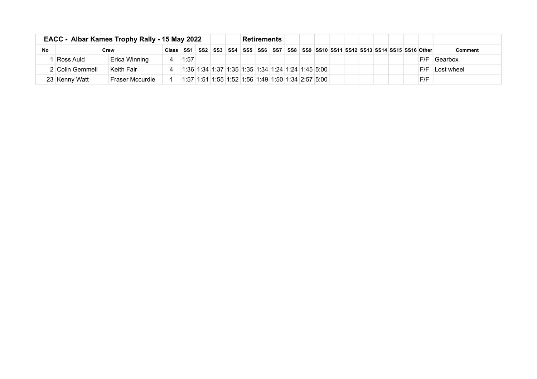|    | EACC - Albar Kames Trophy Rally - 15 May 2022 |                 | <b>Retirements</b> |                                                                                                                       |                                                            |  |  |  |  |  |  |                                                                              |     |                |
|----|-----------------------------------------------|-----------------|--------------------|-----------------------------------------------------------------------------------------------------------------------|------------------------------------------------------------|--|--|--|--|--|--|------------------------------------------------------------------------------|-----|----------------|
| No |                                               | Crew            | Class SS1          |                                                                                                                       |                                                            |  |  |  |  |  |  | SS2 SS3 SS4 SS5 SS6 SS6 SS7 SS8 SS9 SS10 SS11 SS12 SS13 SS14 SS15 SS16 Other |     | <b>Comment</b> |
|    | Ross Auld                                     | Erica Winning   |                    | 1:57                                                                                                                  |                                                            |  |  |  |  |  |  |                                                                              | F/F | <b>Gearbox</b> |
|    | 2 Colin Gemmell                               | ∣Keith Fair     |                    | $\vert 1.36 \vert 1.34 \vert 1.37 \vert 1.35 \vert 1.35 \vert 1.34 \vert 1.24 \vert 1.24 \vert 1.45 \vert 5.00 \vert$ |                                                            |  |  |  |  |  |  |                                                                              | F/F | Lost wheel     |
|    | 23 Kenny Watt                                 | Fraser Mccurdie |                    |                                                                                                                       | 1:57  1:51  1:55  1:52  1:56  1:49  1:50  1:34  2:57  5:00 |  |  |  |  |  |  |                                                                              | F/F |                |